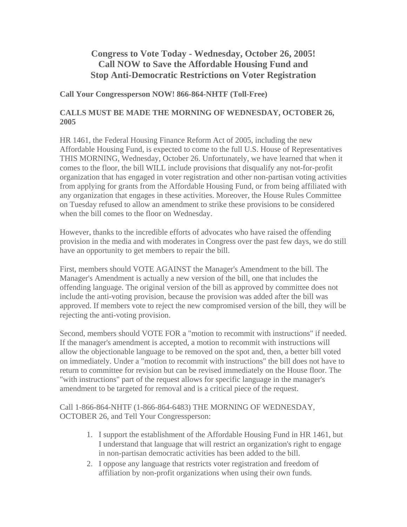## **Congress to Vote Today - Wednesday, October 26, 2005! Call NOW to Save the Affordable Housing Fund and Stop Anti-Democratic Restrictions on Voter Registration**

## **Call Your Congressperson NOW! 866-864-NHTF (Toll-Free)**

## **CALLS MUST BE MADE THE MORNING OF WEDNESDAY, OCTOBER 26, 2005**

HR 1461, the Federal Housing Finance Reform Act of 2005, including the new Affordable Housing Fund, is expected to come to the full U.S. House of Representatives THIS MORNING, Wednesday, October 26. Unfortunately, we have learned that when it comes to the floor, the bill WILL include provisions that disqualify any not-for-profit organization that has engaged in voter registration and other non-partisan voting activities from applying for grants from the Affordable Housing Fund, or from being affiliated with any organization that engages in these activities. Moreover, the House Rules Committee on Tuesday refused to allow an amendment to strike these provisions to be considered when the bill comes to the floor on Wednesday.

However, thanks to the incredible efforts of advocates who have raised the offending provision in the media and with moderates in Congress over the past few days, we do still have an opportunity to get members to repair the bill.

First, members should VOTE AGAINST the Manager's Amendment to the bill. The Manager's Amendment is actually a new version of the bill, one that includes the offending language. The original version of the bill as approved by committee does not include the anti-voting provision, because the provision was added after the bill was approved. If members vote to reject the new compromised version of the bill, they will be rejecting the anti-voting provision.

Second, members should VOTE FOR a "motion to recommit with instructions" if needed. If the manager's amendment is accepted, a motion to recommit with instructions will allow the objectionable language to be removed on the spot and, then, a better bill voted on immediately. Under a "motion to recommit with instructions" the bill does not have to return to committee for revision but can be revised immediately on the House floor. The "with instructions" part of the request allows for specific language in the manager's amendment to be targeted for removal and is a critical piece of the request.

Call 1-866-864-NHTF (1-866-864-6483) THE MORNING OF WEDNESDAY, OCTOBER 26, and Tell Your Congressperson:

- 1. I support the establishment of the Affordable Housing Fund in HR 1461, but I understand that language that will restrict an organization's right to engage in non-partisan democratic activities has been added to the bill.
- 2. I oppose any language that restricts voter registration and freedom of affiliation by non-profit organizations when using their own funds.